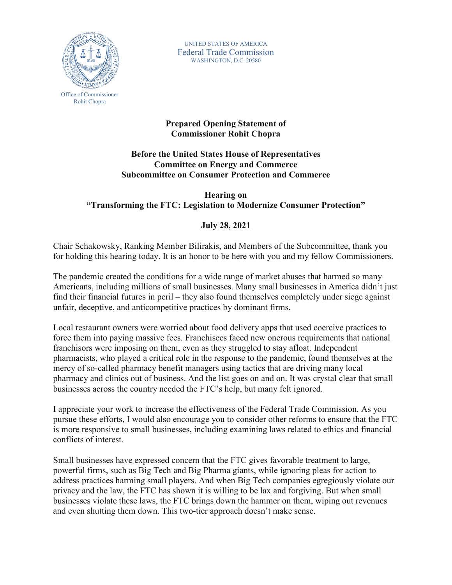

UNITED STATES OF AMERICA Federal Trade Commission WASHINGTON, D.C. 20580

## **Prepared Opening Statement of Commissioner Rohit Chopra**

## **Before the United States House of Representatives Committee on Energy and Commerce Subcommittee on Consumer Protection and Commerce**

## **Hearing on "Transforming the FTC: Legislation to Modernize Consumer Protection"**

## **July 28, 2021**

Chair Schakowsky, Ranking Member Bilirakis, and Members of the Subcommittee, thank you for holding this hearing today. It is an honor to be here with you and my fellow Commissioners.

The pandemic created the conditions for a wide range of market abuses that harmed so many Americans, including millions of small businesses. Many small businesses in America didn't just find their financial futures in peril – they also found themselves completely under siege against unfair, deceptive, and anticompetitive practices by dominant firms.

Local restaurant owners were worried about food delivery apps that used coercive practices to force them into paying massive fees. Franchisees faced new onerous requirements that national franchisors were imposing on them, even as they struggled to stay afloat. Independent pharmacists, who played a critical role in the response to the pandemic, found themselves at the mercy of so-called pharmacy benefit managers using tactics that are driving many local pharmacy and clinics out of business. And the list goes on and on. It was crystal clear that small businesses across the country needed the FTC's help, but many felt ignored.

I appreciate your work to increase the effectiveness of the Federal Trade Commission. As you pursue these efforts, I would also encourage you to consider other reforms to ensure that the FTC is more responsive to small businesses, including examining laws related to ethics and financial conflicts of interest.

Small businesses have expressed concern that the FTC gives favorable treatment to large, powerful firms, such as Big Tech and Big Pharma giants, while ignoring pleas for action to address practices harming small players. And when Big Tech companies egregiously violate our privacy and the law, the FTC has shown it is willing to be lax and forgiving. But when small businesses violate these laws, the FTC brings down the hammer on them, wiping out revenues and even shutting them down. This two-tier approach doesn't make sense.